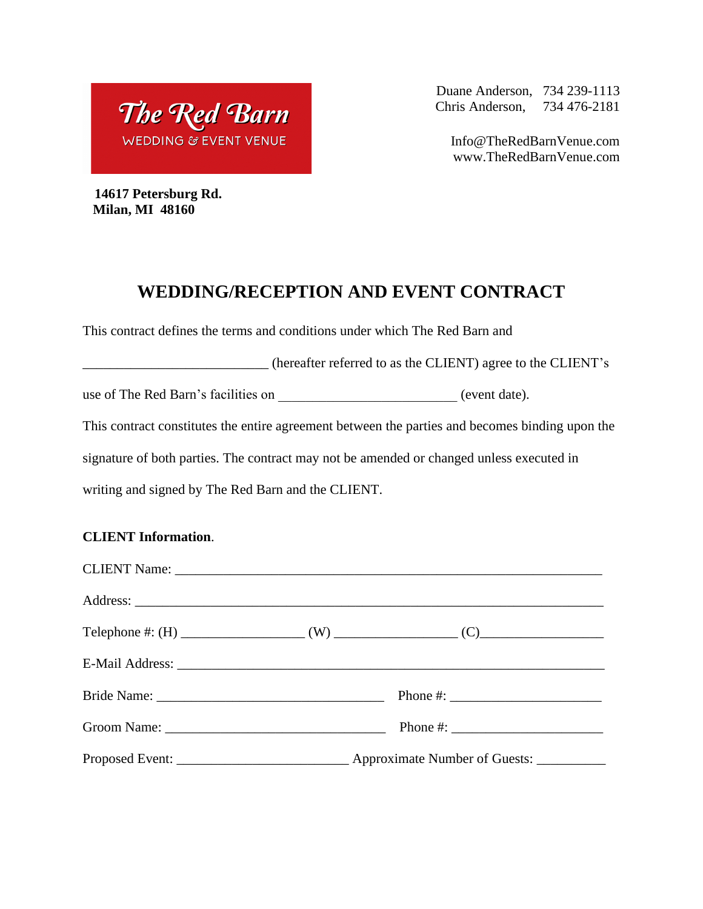The Red Barn **WEDDING & EVENT VENUE** 

Duane Anderson, 734 239-1113 Chris Anderson, 734 476-2181

Info@TheRedBarnVenue.com www.TheRedBarnVenue.com

 **14617 Petersburg Rd. Milan, MI 48160**

## **WEDDING/RECEPTION AND EVENT CONTRACT**

This contract defines the terms and conditions under which The Red Barn and

\_\_\_\_\_\_\_\_\_\_\_\_\_\_\_\_\_\_\_\_\_\_\_\_\_\_\_ (hereafter referred to as the CLIENT) agree to the CLIENT's

use of The Red Barn's facilities on \_\_\_\_\_\_\_\_\_\_\_\_\_\_\_\_\_\_\_\_\_\_\_\_\_\_\_\_\_ (event date).

This contract constitutes the entire agreement between the parties and becomes binding upon the

signature of both parties. The contract may not be amended or changed unless executed in

writing and signed by The Red Barn and the CLIENT.

## **CLIENT Information**.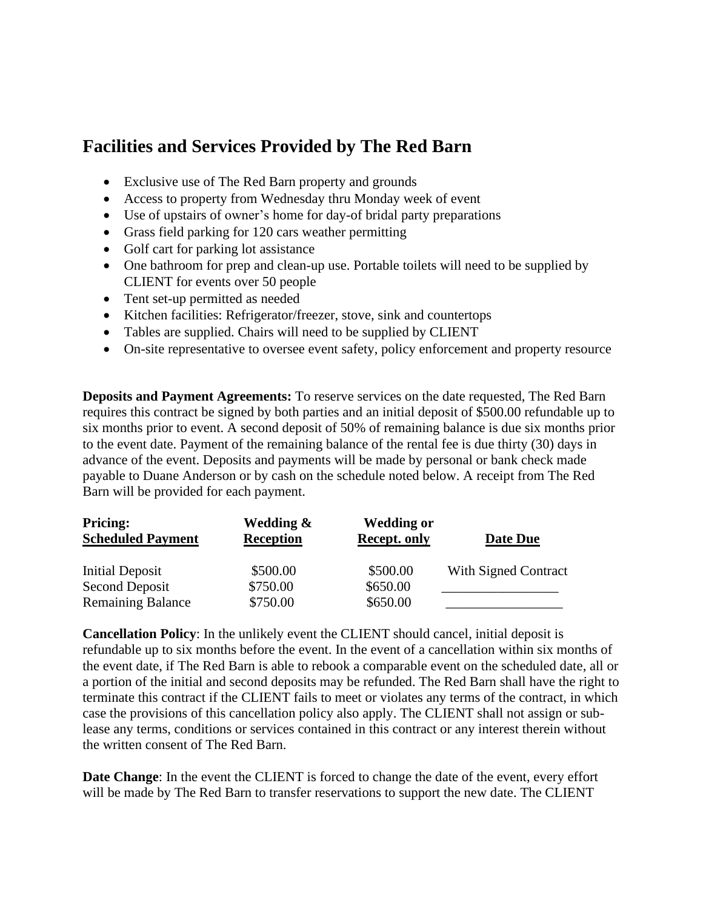## **Facilities and Services Provided by The Red Barn**

- Exclusive use of The Red Barn property and grounds
- Access to property from Wednesday thru Monday week of event
- Use of upstairs of owner's home for day-of bridal party preparations
- Grass field parking for 120 cars weather permitting
- Golf cart for parking lot assistance
- One bathroom for prep and clean-up use. Portable toilets will need to be supplied by CLIENT for events over 50 people
- Tent set-up permitted as needed
- Kitchen facilities: Refrigerator/freezer, stove, sink and countertops
- Tables are supplied. Chairs will need to be supplied by CLIENT
- On-site representative to oversee event safety, policy enforcement and property resource

**Deposits and Payment Agreements:** To reserve services on the date requested, The Red Barn requires this contract be signed by both parties and an initial deposit of \$500.00 refundable up to six months prior to event. A second deposit of 50% of remaining balance is due six months prior to the event date. Payment of the remaining balance of the rental fee is due thirty (30) days in advance of the event. Deposits and payments will be made by personal or bank check made payable to Duane Anderson or by cash on the schedule noted below. A receipt from The Red Barn will be provided for each payment.

| <b>Pricing:</b>          | Wedding &        | <b>Wedding or</b>   |                             |
|--------------------------|------------------|---------------------|-----------------------------|
| <b>Scheduled Payment</b> | <b>Reception</b> | <b>Recept. only</b> | Date Due                    |
| Initial Deposit          | \$500.00         | \$500.00            | <b>With Signed Contract</b> |
| Second Deposit           | \$750.00         | \$650.00            |                             |
| <b>Remaining Balance</b> | \$750.00         | \$650.00            |                             |

**Cancellation Policy**: In the unlikely event the CLIENT should cancel, initial deposit is refundable up to six months before the event. In the event of a cancellation within six months of the event date, if The Red Barn is able to rebook a comparable event on the scheduled date, all or a portion of the initial and second deposits may be refunded. The Red Barn shall have the right to terminate this contract if the CLIENT fails to meet or violates any terms of the contract, in which case the provisions of this cancellation policy also apply. The CLIENT shall not assign or sublease any terms, conditions or services contained in this contract or any interest therein without the written consent of The Red Barn.

**Date Change**: In the event the CLIENT is forced to change the date of the event, every effort will be made by The Red Barn to transfer reservations to support the new date. The CLIENT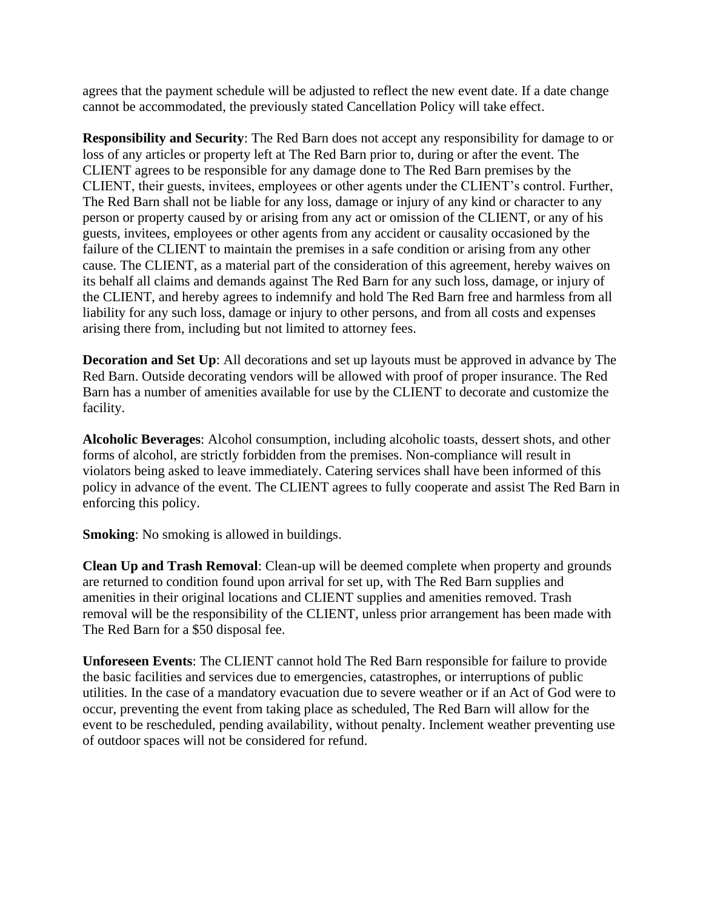agrees that the payment schedule will be adjusted to reflect the new event date. If a date change cannot be accommodated, the previously stated Cancellation Policy will take effect.

**Responsibility and Security**: The Red Barn does not accept any responsibility for damage to or loss of any articles or property left at The Red Barn prior to, during or after the event. The CLIENT agrees to be responsible for any damage done to The Red Barn premises by the CLIENT, their guests, invitees, employees or other agents under the CLIENT's control. Further, The Red Barn shall not be liable for any loss, damage or injury of any kind or character to any person or property caused by or arising from any act or omission of the CLIENT, or any of his guests, invitees, employees or other agents from any accident or causality occasioned by the failure of the CLIENT to maintain the premises in a safe condition or arising from any other cause. The CLIENT, as a material part of the consideration of this agreement, hereby waives on its behalf all claims and demands against The Red Barn for any such loss, damage, or injury of the CLIENT, and hereby agrees to indemnify and hold The Red Barn free and harmless from all liability for any such loss, damage or injury to other persons, and from all costs and expenses arising there from, including but not limited to attorney fees.

**Decoration and Set Up**: All decorations and set up layouts must be approved in advance by The Red Barn. Outside decorating vendors will be allowed with proof of proper insurance. The Red Barn has a number of amenities available for use by the CLIENT to decorate and customize the facility.

**Alcoholic Beverages**: Alcohol consumption, including alcoholic toasts, dessert shots, and other forms of alcohol, are strictly forbidden from the premises. Non-compliance will result in violators being asked to leave immediately. Catering services shall have been informed of this policy in advance of the event. The CLIENT agrees to fully cooperate and assist The Red Barn in enforcing this policy.

**Smoking**: No smoking is allowed in buildings.

**Clean Up and Trash Removal**: Clean-up will be deemed complete when property and grounds are returned to condition found upon arrival for set up, with The Red Barn supplies and amenities in their original locations and CLIENT supplies and amenities removed. Trash removal will be the responsibility of the CLIENT, unless prior arrangement has been made with The Red Barn for a \$50 disposal fee.

**Unforeseen Events**: The CLIENT cannot hold The Red Barn responsible for failure to provide the basic facilities and services due to emergencies, catastrophes, or interruptions of public utilities. In the case of a mandatory evacuation due to severe weather or if an Act of God were to occur, preventing the event from taking place as scheduled, The Red Barn will allow for the event to be rescheduled, pending availability, without penalty. Inclement weather preventing use of outdoor spaces will not be considered for refund.